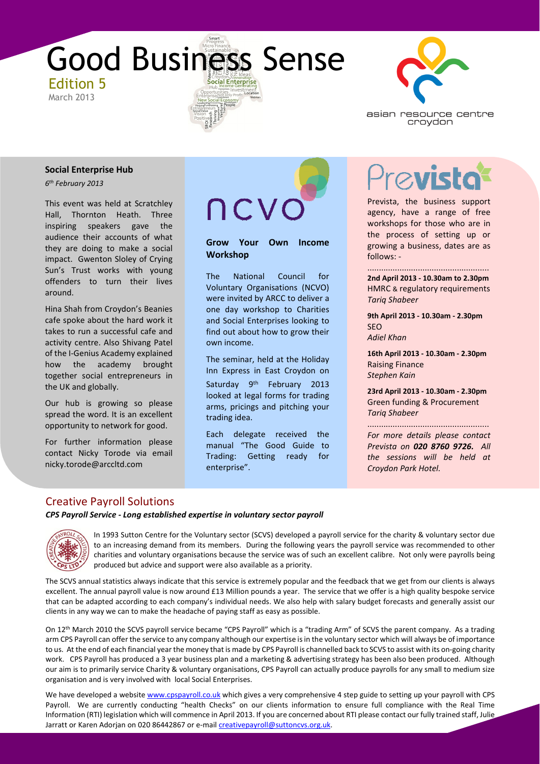



#### **Social Enterprise Hub**

*6 th February 2013*

This event was held at Scratchley Hall, Thornton Heath. Three inspiring speakers gave the audience their accounts of what they are doing to make a social impact. Gwenton Sloley of Crying Sun's Trust works with young offenders to turn their lives around.

Hina Shah from Croydon's Beanies cafe spoke about the hard work it takes to run a successful cafe and activity centre. Also Shivang Patel of the I-Genius Academy explained how the academy brought together social entrepreneurs in the UK and globally.

Our hub is growing so please spread the word. It is an excellent opportunity to network for good.

For further information please contact Nicky Torode via email nicky.torode@arccltd.com

ncvo

**Grow Your Own Income Workshop**

The National Council for Voluntary Organisations (NCVO) were invited by ARCC to deliver a one day workshop to Charities and Social Enterprises looking to find out about how to grow their own income.

The seminar, held at the Holiday Inn Express in East Croydon on Saturday 9<sup>th</sup> February 2013 looked at legal forms for trading arms, pricings and pitching your trading idea.

Each delegate received the manual "The Good Guide to Trading: Getting ready for enterprise".

# $\oslash$ vist

Prevista, the business support agency, have a range of free workshops for those who are in the process of setting up or growing a business, dates are as follows: -

..................................................... **2nd April 2013 - 10.30am to 2.30pm** HMRC & regulatory requirements *Tariq Shabeer* 

**9th April 2013 - 10.30am - 2.30pm** SEO *Adiel Khan* 

**16th April 2013 - 10.30am - 2.30pm** Raising Finance *Stephen Kain* 

**23rd April 2013 - 10.30am - 2.30pm** Green funding & Procurement *Tariq Shabeer* 

..................................................... *For more details please contact Prevista on 020 8760 9726. All the sessions will be held at Croydon Park Hotel.* 

## Creative Payroll Solutions

*CPS Payroll Service - Long established expertise in voluntary sector payroll*



In 1993 Sutton Centre for the Voluntary sector (SCVS) developed a payroll service for the charity & voluntary sector due to an increasing demand from its members. During the following years the payroll service was recommended to other charities and voluntary organisations because the service was of such an excellent calibre. Not only were payrolls being produced but advice and support were also available as a priority.

The SCVS annual statistics always indicate that this service is extremely popular and the feedback that we get from our clients is always excellent. The annual payroll value is now around £13 Million pounds a year. The service that we offer is a high quality bespoke service that can be adapted according to each company's individual needs. We also help with salary budget forecasts and generally assist our clients in any way we can to make the headache of paying staff as easy as possible.

On 12<sup>th</sup> March 2010 the SCVS payroll service became "CPS Payroll" which is a "trading Arm" of SCVS the parent company. As a trading<br>arm CPS Payroll can offer the service to any company although our expertise is in the vol to us. At the end of each financial year the money that is made by CPS Payroll is channelled back to SCVS to assist with its on-going charity<br>work – CPS Payroll has produced a 3 year business plan and a marketing & adverti arm CPS Payroll can offer the service to any company although our expertise is in the voluntary sector which will always be of importance work. CPS Payroll has produced a 3 year business plan and a marketing & advertising strategy has been also been produced. Although our aim is to primarily service Charity & voluntary organisations, CPS Payroll can actually produce payrolls for any small to medium size organisation and is very involved with local Social Enterprises.

We have developed a website www.cpspayroll.co.uk which gives a very comprehensive 4 step guide to setting up your payroll with CPS Payroll. We are currently conducting "health Checks" on our clients information to ensure full compliance with the Real Time Information (RTI) legislation which will commence in April 2013. If you are concerned about RTI please contact our fully trained staff, Julie Jarratt or Karen Adorjan on 020 86442867 or e-mail creativepayroll@suttoncvs.org.uk.